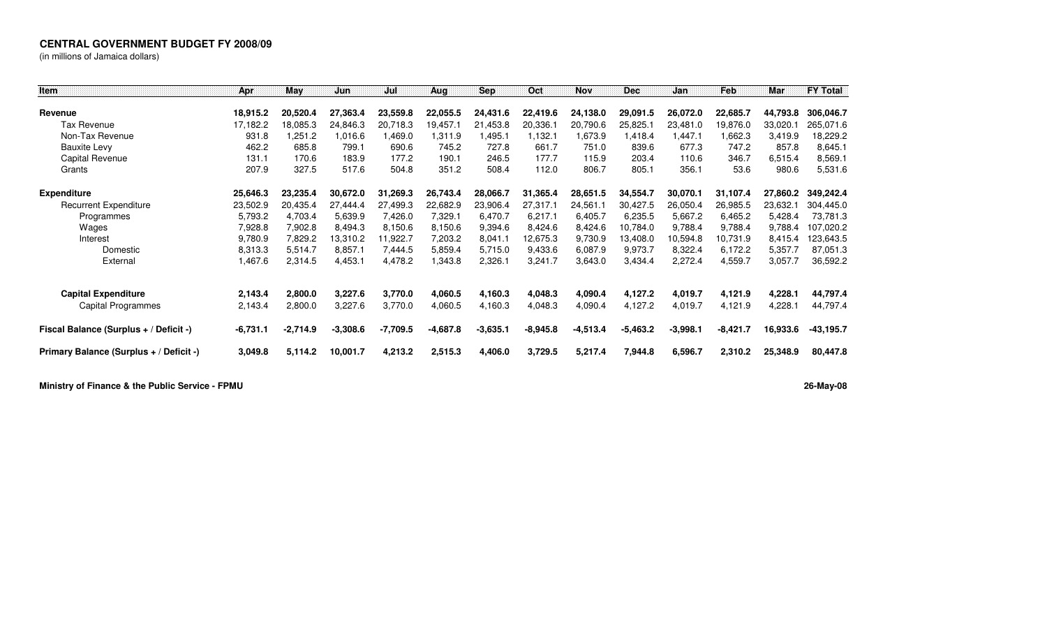## **CENTRAL GOVERNMENT BUDGET FY 2008/09**

(in millions of Jamaica dollars)

| Item                                    | Apr        | May        | Jun        | Jul      | Aug        | <b>Sep</b> | Oct        | <b>Nov</b> | <b>Dec</b> | Jan        | Feb        | <b>Mar</b> | <b>FY Total</b> |
|-----------------------------------------|------------|------------|------------|----------|------------|------------|------------|------------|------------|------------|------------|------------|-----------------|
|                                         |            |            |            |          |            |            |            |            |            |            |            |            |                 |
| Revenue                                 | 18,915.2   | 20,520.4   | 27,363.4   | 23,559.8 | 22,055.5   | 24,431.6   | 22,419.6   | 24,138.0   | 29,091.5   | 26,072.0   | 22,685.7   | 44,793.8   | 306,046.7       |
| Tax Revenue                             | 17,182.2   | 18.085.3   | 24,846.3   | 20,718.3 | 19,457.1   | 21,453.8   | 20.336.1   | 20,790.6   | 25,825.1   | 23,481.0   | 19,876.0   | 33,020.1   | 265,071.6       |
| Non-Tax Revenue                         | 931.8      | .251.2     | 1,016.6    | 1,469.0  | 1,311.9    | 1,495.1    | 1,132.1    | 1,673.9    | 1,418.4    | 1,447.1    | 1,662.3    | 3,419.9    | 18,229.2        |
| <b>Bauxite Levy</b>                     | 462.2      | 685.8      | 799.1      | 690.6    | 745.2      | 727.8      | 661.7      | 751.0      | 839.6      | 677.3      | 747.2      | 857.8      | 8,645.1         |
| Capital Revenue                         | 131.1      | 170.6      | 183.9      | 177.2    | 190.1      | 246.5      | 177.7      | 115.9      | 203.4      | 110.6      | 346.7      | 6,515.4    | 8,569.1         |
| Grants                                  | 207.9      | 327.5      | 517.6      | 504.8    | 351.2      | 508.4      | 112.0      | 806.7      | 805.1      | 356.1      | 53.6       | 980.6      | 5,531.6         |
| <b>Expenditure</b>                      | 25,646.3   | 23,235.4   | 30,672.0   | 31,269.3 | 26,743.4   | 28,066.7   | 31,365.4   | 28,651.5   | 34,554.7   | 30,070.1   | 31,107.4   | 27,860.2   | 349,242.4       |
| <b>Recurrent Expenditure</b>            | 23,502.9   | 20,435.4   | 27,444.4   | 27,499.3 | 22,682.9   | 23,906.4   | 27,317.1   | 24,561.1   | 30,427.5   | 26,050.4   | 26,985.5   | 23,632.1   | 304,445.0       |
| Programmes                              | 5,793.2    | 4,703.4    | 5,639.9    | 7,426.0  | 7,329.1    | 6,470.7    | 6,217.1    | 6,405.7    | 6,235.5    | 5,667.2    | 6,465.2    | 5,428.4    | 73,781.3        |
| Wages                                   | 7,928.8    | 7,902.8    | 8,494.3    | 8,150.6  | 8,150.6    | 9,394.6    | 8,424.6    | 8,424.6    | 10,784.0   | 9,788.4    | 9,788.4    | 9,788.4    | 107,020.2       |
| Interest                                | 9,780.9    | 7,829.2    | 13,310.2   | 1,922.7  | 7,203.2    | 8,041.1    | 12,675.3   | 9,730.9    | 13,408.0   | 10,594.8   | 10,731.9   | 8,415.4    | 123,643.5       |
| Domestic                                | 8,313.3    | 5,514.7    | 8,857.1    | 7,444.5  | 5,859.4    | 5,715.0    | 9,433.6    | 6,087.9    | 9,973.7    | 8,322.4    | 6.172.2    | 5,357.7    | 87,051.3        |
| External                                | 1,467.6    | 2,314.5    | 4,453.1    | 4,478.2  | 343.8. ا   | 2,326.1    | 3,241.7    | 3,643.0    | 3,434.4    | 2,272.4    | 4,559.7    | 3,057.7    | 36,592.2        |
| <b>Capital Expenditure</b>              | 2,143.4    | 2,800.0    | 3,227.6    | 3,770.0  | 4,060.5    | 4,160.3    | 4,048.3    | 4,090.4    | 4,127.2    | 4,019.7    | 4,121.9    | 4,228.1    | 44,797.4        |
| Capital Programmes                      | 2,143.4    | 2,800.0    | 3,227.6    | 3,770.0  | 4,060.5    | 4,160.3    | 4,048.3    | 4,090.4    | 4,127.2    | 4,019.7    | 4,121.9    | 4,228.1    | 44,797.4        |
| Fiscal Balance (Surplus + / Deficit -)  | $-6,731.1$ | $-2,714.9$ | $-3,308.6$ | -7,709.5 | $-4,687.8$ | $-3,635.1$ | $-8,945.8$ | $-4,513.4$ | $-5.463.2$ | $-3,998.1$ | $-8,421.7$ | 16,933.6   | $-43, 195.7$    |
| Primary Balance (Surplus + / Deficit -) | 3,049.8    | 5,114.2    | 10,001.7   | 4,213.2  | 2,515.3    | 4,406.0    | 3,729.5    | 5,217.4    | 7,944.8    | 6,596.7    | 2,310.2    | 25,348.9   | 80,447.8        |

**Ministry of Finance & the Public Service - FPMU**

**26-May-08**